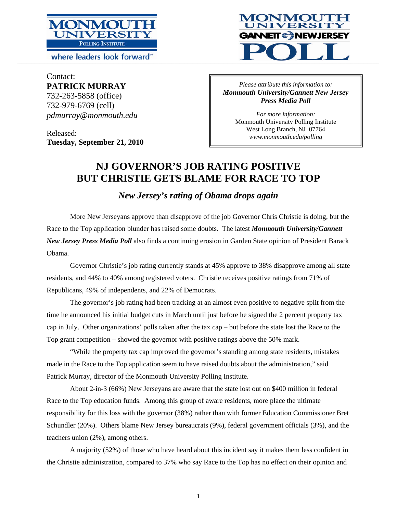

where leaders look forward<sup>®</sup>



Contact: **PATRICK MURRAY**  732-263-5858 (office) 732-979-6769 (cell) *pdmurray@monmouth.edu* 

Released: **Tuesday, September 21, 2010** 

*Please attribute this information to: Monmouth University/Gannett New Jersey Press Media Poll* 

> *For more information:*  Monmouth University Polling Institute West Long Branch, NJ 07764 *www.monmouth.edu/polling*

# **NJ GOVERNOR'S JOB RATING POSITIVE BUT CHRISTIE GETS BLAME FOR RACE TO TOP**

*New Jersey's rating of Obama drops again* 

More New Jerseyans approve than disapprove of the job Governor Chris Christie is doing, but the Race to the Top application blunder has raised some doubts. The latest *Monmouth University/Gannett New Jersey Press Media Poll* also finds a continuing erosion in Garden State opinion of President Barack Obama.

Governor Christie's job rating currently stands at 45% approve to 38% disapprove among all state residents, and 44% to 40% among registered voters. Christie receives positive ratings from 71% of Republicans, 49% of independents, and 22% of Democrats.

The governor's job rating had been tracking at an almost even positive to negative split from the time he announced his initial budget cuts in March until just before he signed the 2 percent property tax cap in July. Other organizations' polls taken after the tax cap – but before the state lost the Race to the Top grant competition – showed the governor with positive ratings above the 50% mark.

"While the property tax cap improved the governor's standing among state residents, mistakes made in the Race to the Top application seem to have raised doubts about the administration," said Patrick Murray, director of the Monmouth University Polling Institute.

About 2-in-3 (66%) New Jerseyans are aware that the state lost out on \$400 million in federal Race to the Top education funds. Among this group of aware residents, more place the ultimate responsibility for this loss with the governor (38%) rather than with former Education Commissioner Bret Schundler (20%). Others blame New Jersey bureaucrats (9%), federal government officials (3%), and the teachers union (2%), among others.

A majority (52%) of those who have heard about this incident say it makes them less confident in the Christie administration, compared to 37% who say Race to the Top has no effect on their opinion and

1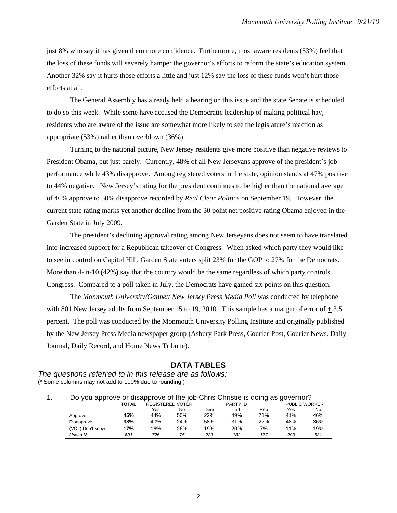just 8% who say it has given them more confidence. Furthermore, most aware residents (53%) feel that the loss of these funds will severely hamper the governor's efforts to reform the state's education system. Another 32% say it hurts those efforts a little and just 12% say the loss of these funds won't hurt those efforts at all.

The General Assembly has already held a hearing on this issue and the state Senate is scheduled to do so this week. While some have accused the Democratic leadership of making political hay, residents who are aware of the issue are somewhat more likely to see the legislature's reaction as appropriate (53%) rather than overblown (36%).

Turning to the national picture, New Jersey residents give more positive than negative reviews to President Obama, but just barely. Currently, 48% of all New Jerseyans approve of the president's job performance while 43% disapprove. Among registered voters in the state, opinion stands at 47% positive to 44% negative. New Jersey's rating for the president continues to be higher than the national average of 46% approve to 50% disapprove recorded by *Real Clear Politics* on September 19. However, the current state rating marks yet another decline from the 30 point net positive rating Obama enjoyed in the Garden State in July 2009.

The president's declining approval rating among New Jerseyans does not seem to have translated into increased support for a Republican takeover of Congress. When asked which party they would like to see in control on Capitol Hill, Garden State voters split 23% for the GOP to 27% for the Democrats. More than 4-in-10 (42%) say that the country would be the same regardless of which party controls Congress. Compared to a poll taken in July, the Democrats have gained six points on this question.

The *Monmouth University/Gannett New Jersey Press Media Poll* was conducted by telephone with 801 New Jersey adults from September 15 to 19, 2010. This sample has a margin of error of  $+3.5$ percent. The poll was conducted by the Monmouth University Polling Institute and originally published by the New Jersey Press Media newspaper group (Asbury Park Press, Courier-Post, Courier News, Daily Journal, Daily Record, and Home News Tribune).

## **DATA TABLES**

*The questions referred to in this release are as follows:*  (\* Some columns may not add to 100% due to rounding.)

#### 1. Do you approve or disapprove of the job Chris Christie is doing as governor?

|                  | <b>TOTAL</b> |     | REGISTERED VOTER |     | PARTY ID |     |     | <b>PUBLIC WORKER</b> |
|------------------|--------------|-----|------------------|-----|----------|-----|-----|----------------------|
|                  |              | Yes | No               | Dem | Ind      | Rep | Yes | No                   |
| Approve          | 45%          | 44% | 50%              | 22% | 49%      | 71% | 41% | 46%                  |
| Disapprove       | 38%          | 40% | 24%              | 58% | 31%      | 22% | 48% | 36%                  |
| (VOL) Don't know | 17%          | 16% | 26%              | 19% | 20%      | 7%  | 11% | 19%                  |
| Unwtd N          | 801          | 726 | 75               | 223 | 382      | 177 | 203 | 581                  |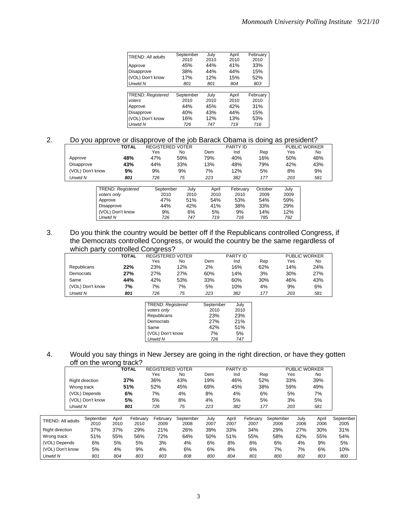|                          | September | July | April | February |
|--------------------------|-----------|------|-------|----------|
| TREND: All adults        | 2010      | 2010 | 2010  | 2010     |
|                          |           |      |       |          |
| Approve                  | 45%       | 44%  | 41%   | 33%      |
| Disapprove               | 38%       | 44%  | 44%   | 15%      |
| (VOL) Don't know         | 17%       | 12%  | 15%   | 52%      |
| Unwtd N                  | 801       | 801  | 804   | 803      |
|                          |           |      |       |          |
| <b>TREND: Registered</b> | September | July | April | February |
| voters                   | 2010      | 2010 | 2010  | 2010     |
| Approve                  | 44%       | 45%  | 42%   | 31%      |
| Disapprove               | 40%       | 43%  | 44%   | 15%      |
| (VOL) Don't know         | 16%       | 12%  | 13%   | 53%      |
| Unwtd N                  | 726       | 747  | 719   | 716      |

### 2. Do you approve or disapprove of the job Barack Obama is doing as president?

|                  |                  | <b>TOTAL</b>             | <b>REGISTERED VOTER</b> |      |       | <b>PARTY ID</b> | $\tilde{\phantom{a}}$ |      | <b>PUBLIC WORKER</b> |
|------------------|------------------|--------------------------|-------------------------|------|-------|-----------------|-----------------------|------|----------------------|
|                  |                  |                          | Yes                     | No.  | Dem   | Ind             | Rep                   | Yes  | No                   |
| Approve          |                  | 48%                      | 47%                     | 59%  | 79%   | 40%             | 16%                   | 50%  | 48%                  |
| Disapprove       |                  | 43%                      | 44%                     | 33%  | 13%   | 48%             | 79%                   | 42%  | 43%                  |
| (VOL) Don't know |                  | 9%                       | 9%                      | 9%   | 7%    | 12%             | 5%                    | 8%   | 9%                   |
| Unwtd N          |                  | 801                      | 726                     | 75   | 223   | 382             | 177                   | 203  | 581                  |
|                  |                  |                          |                         |      |       |                 |                       |      |                      |
|                  |                  | <b>TREND: Registered</b> | September               | July | April | February        | October               | July |                      |
|                  | voters only      |                          | 2010                    | 2010 | 2010  | 2010            | 2009                  | 2009 |                      |
|                  | Approve          |                          | 47%                     | 51%  | 54%   | 53%             | 54%                   | 59%  |                      |
|                  | Disapprove       |                          | 44%                     | 42%  | 41%   | 38%             | 33%                   | 29%  |                      |
|                  | (VOL) Don't know |                          | 9%                      | 6%   | 5%    | 9%              | 14%                   | 12%  |                      |
|                  | Unwtd N          |                          | 726                     | 747  | 719   | 716             | 785                   | 792  |                      |

## 3. Do you think the country would be better off if the Republicans controlled Congress, if the Democrats controlled Congress, or would the country be the same regardless of which party controlled Congress?

|                  | <b>TOTAL</b> |     | <b>REGISTERED VOTER</b> |     | <b>PARTY ID</b> |     |     | <b>PUBLIC WORKER</b> |
|------------------|--------------|-----|-------------------------|-----|-----------------|-----|-----|----------------------|
|                  |              | Yes | No                      | Dem | Ind             | Rep | Yes | No                   |
| Republicans      | 22%          | 23% | 12%                     | 2%  | 16%             | 62% | 14% | 24%                  |
| Democrats        | 27%          | 27% | 27%                     | 60% | 14%             | 3%  | 30% | 27%                  |
| Same             | 44%          | 42% | 53%                     | 33% | 60%             | 30% | 46% | 43%                  |
| (VOL) Don't know | 7%           | 7%  | 7%                      | 5%  | 10%             | 4%  | 9%  | 6%                   |
| Unwtd N          | 801          | 726 | 75                      | 223 | 382             | 177 | 203 | 581                  |

| TREND: Registered | September  | July |
|-------------------|------------|------|
| voters only       | 2010       | 2010 |
| Republicans       | 23%        | 23%  |
| Democrats         | <b>27%</b> | 21%  |
| Same              | 42%        | 51%  |
| (VOL) Don't know  | 7%         | 5%   |
| Unwtd N           | 726        | 747  |

#### 4. Would you say things in New Jersey are going in the right direction, or have they gotten off on the wrong track?

|                          |             |                        |               | <b>TOTAL</b>     | <b>REGISTERED VOTER</b> |                   |              | <b>PARTY ID</b> |                  |                   | <b>PUBLIC WORKER</b> |               |                   |
|--------------------------|-------------|------------------------|---------------|------------------|-------------------------|-------------------|--------------|-----------------|------------------|-------------------|----------------------|---------------|-------------------|
|                          |             |                        |               |                  | Yes                     | No                | Dem          | Ind             | Rep              |                   | Yes                  | <b>No</b>     |                   |
|                          |             | <b>Right direction</b> |               | 37%              | 36%                     | 43%               | 19%          | 46%             | 52%              |                   | 33%                  | 39%           |                   |
|                          | Wrong track |                        |               | 51%              | 52%                     | 45%               | 69%          | 45%             | 38%              |                   | 59%                  | 49%           |                   |
|                          |             | (VOL) Depends          |               | 6%               | 7%                      | 4%                | 8%           | 4%              |                  | 6%                | 5%                   | 7%            |                   |
|                          |             | (VOL) Don't know       |               | 5%               | 5%                      | 8%                | 4%           | 5%              |                  | 5%                | 3%                   | 5%            |                   |
|                          | Unwtd N     |                        |               | 801              | 726                     | 75                | 223          | 382             |                  | 177               | 203                  | 581           |                   |
|                          |             |                        |               |                  |                         |                   |              |                 |                  |                   |                      |               |                   |
| <b>TREND: All adults</b> |             | September<br>2010      | April<br>2010 | February<br>2010 | February<br>2009        | September<br>2008 | July<br>2007 | April<br>2007   | February<br>2007 | September<br>2006 | July<br>2006         | April<br>2006 | September<br>2005 |
| <b>Right direction</b>   |             | 37%                    | 37%           | 29%              | 21%                     | 26%               | 39%          | 33%             | 34%              | 29%               | 27%                  | 30%           | 31%               |
| Wrong track              |             | 51%                    | 55%           | 56%              | 72%                     | 64%               | 50%          | 51%             | 55%              | 58%               | 62%                  | 55%           | 54%               |
| (VOL) Depends            |             | 6%                     | 5%            | 5%               | 3%                      | 4%                | 6%           | 8%              | 6%               | 6%                | 4%                   | 9%            | 5%                |
| (VOL) Don't know         |             | 5%                     | 4%            | 9%               | 4%                      | 6%                | 6%           | 8%              | 6%               | 7%                | 7%                   | 6%            | 10%               |
| Unwtd N                  |             | 801                    | 804           | 803              | 803                     | 808               | 800          | 804             | 801              | 800               | 802                  | 803           | 800               |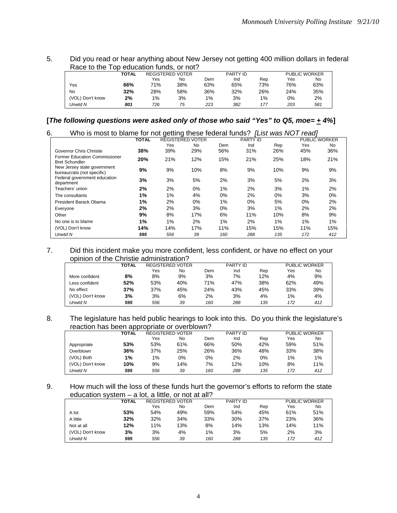5. Did you read or hear anything about New Jersey not getting 400 million dollars in federal Race to the Top education funds, or not?

|                  | TOTAL |     | <b>REGISTERED VOTER</b> |     | PARTY ID |       |     | <b>PUBLIC WORKER</b> |
|------------------|-------|-----|-------------------------|-----|----------|-------|-----|----------------------|
|                  |       | Yes | No                      | Dem | Ind      | Rep   | Yes | No                   |
| Yes              | 66%   | 71% | 38%                     | 63% | 65%      | 73%   | 76% | 63%                  |
| No               | 32%   | 28% | 58%                     | 36% | 32%      | 26%   | 24% | 35%                  |
| (VOL) Don't know | 2%    | 1%  | 3%                      | 1%  | 3%       | $1\%$ | 0%  | 2%                   |
| Unwtd N          | 801   | 726 | 75                      | 223 | 382      | 177   | 203 | 581                  |

**[***The following questions were asked only of those who said "Yes" to Q5, moe= + 4%***]** 

| 6.<br>Who is most to blame for not getting these federal funds? |              |       |                         |     |          |       | [List was NOT read] |                      |
|-----------------------------------------------------------------|--------------|-------|-------------------------|-----|----------|-------|---------------------|----------------------|
|                                                                 | <b>TOTAL</b> |       | <b>REGISTERED VOTER</b> |     | PARTY ID |       |                     | <b>PUBLIC WORKER</b> |
|                                                                 |              | Yes   | <b>No</b>               | Dem | Ind      | Rep   | Yes                 | No                   |
| Governor Chris Christie                                         | 38%          | 39%   | 29%                     | 56% | 31%      | 26%   | 45%                 | 36%                  |
| <b>Former Education Commissioner</b><br><b>Bret Schundler</b>   | 20%          | 21%   | 12%                     | 15% | 21%      | 25%   | 18%                 | 21%                  |
| New Jersey state government<br>bureaucrats (not specific)       | 9%           | 9%    | 10%                     | 8%  | 9%       | 10%   | 9%                  | 9%                   |
| Federal government education<br>department                      | 3%           | 3%    | 5%                      | 2%  | 3%       | 5%    | 2%                  | 3%                   |
| Teachers' union                                                 | 2%           | 2%    | 0%                      | 1%  | 2%       | 3%    | 1%                  | 2%                   |
| The consultants                                                 | 1%           | $1\%$ | 4%                      | 0%  | 2%       | $0\%$ | 3%                  | $0\%$                |
| President Barack Obama                                          | 1%           | 2%    | 0%                      | 1%  | 0%       | 5%    | 0%                  | 2%                   |
| Everyone                                                        | 2%           | 2%    | 3%                      | 0%  | 3%       | $1\%$ | 2%                  | 2%                   |
| Other                                                           | 9%           | 8%    | 17%                     | 6%  | 11%      | 10%   | 8%                  | 9%                   |
| No one is to blame                                              | 1%           | $1\%$ | 2%                      | 1%  | 2%       | 1%    | 1%                  | 1%                   |
| (VOL) Don't know                                                | 14%          | 14%   | 17%                     | 11% | 15%      | 15%   | 11%                 | 15%                  |
| Unwtd N                                                         | 595          | 556   | 39                      | 160 | 288      | 135   | 172                 | 412                  |

7. Did this incident make you more confident, less confident, or have no effect on your opinion of the Christie administration?

|                  | <b>TOTAL</b> | <b>REGISTERED VOTER</b> |     |     | PARTY ID |     | <b>PUBLIC WORKER</b> |     |
|------------------|--------------|-------------------------|-----|-----|----------|-----|----------------------|-----|
|                  |              | Yes                     | No  | Dem | Ind      | Rep | Yes                  | No  |
| More confident   | 8%           | 8%                      | 9%  | 3%  | 7%       | 12% | 4%                   | 9%  |
| Less confident   | 52%          | 53%                     | 40% | 71% | 47%      | 38% | 62%                  | 49% |
| No effect        | 37%          | 37%                     | 45% | 24% | 43%      | 45% | 33%                  | 39% |
| (VOL) Don't know | 3%           | 3%                      | 6%  | 2%  | 3%       | 4%  | $1\%$                | 4%  |
| Unwtd N          | 595          | 556                     | 39  | 160 | 288      | 135 | 172                  | 412 |

8. The legislature has held public hearings to look into this. Do you think the legislature's reaction has been appropriate or overblown?

|                  | <b>TOTAL</b> |     | <b>REGISTERED VOTER</b> | <b>PARTY ID</b> |     |     | <b>PUBLIC WORKER</b> |     |
|------------------|--------------|-----|-------------------------|-----------------|-----|-----|----------------------|-----|
|                  |              | Yes | No.                     | Dem             | Ind | Rep | Yes                  | No  |
| Appropriate      | 53%          | 53% | 61%                     | 66%             | 50% | 42% | 59%                  | 51% |
| Overblown        | 36%          | 37% | 25%                     | 26%             | 36% | 48% | 33%                  | 38% |
| (VOL) Both       | 1%           | 1%  | 0%                      | 0%              | 2%  | 0%  | $1\%$                | 1%  |
| (VOL) Don't know | 10%          | 9%  | 14%                     | 7%              | 12% | 10% | 8%                   | 11% |
| Unwtd N          | 595          | 556 | 39                      | 160             | 288 | 135 | 172                  | 412 |

9. How much will the loss of these funds hurt the governor's efforts to reform the state education system – a lot, a little, or not at all?

|                  | TOTAL |     | <b>REGISTERED VOTER</b> |       | <b>PARTY ID</b> |     |     | <b>PUBLIC WORKER</b> |
|------------------|-------|-----|-------------------------|-------|-----------------|-----|-----|----------------------|
|                  |       | Yes | No                      | Dem   | Ind             | Rep | Yes | No                   |
| A lot            | 53%   | 54% | 49%                     | 59%   | 54%             | 45% | 61% | 51%                  |
| A little         | 32%   | 32% | 34%                     | 33%   | 30%             | 37% | 23% | 36%                  |
| Not at all       | 12%   | 11% | 13%                     | 8%    | 14%             | 13% | 14% | 11%                  |
| (VOL) Don't know | 3%    | 3%  | 4%                      | $1\%$ | 3%              | 5%  | 2%  | 3%                   |
| Unwtd N          | 595   | 556 | 39                      | 160   | 288             | 135 | 172 | 412                  |